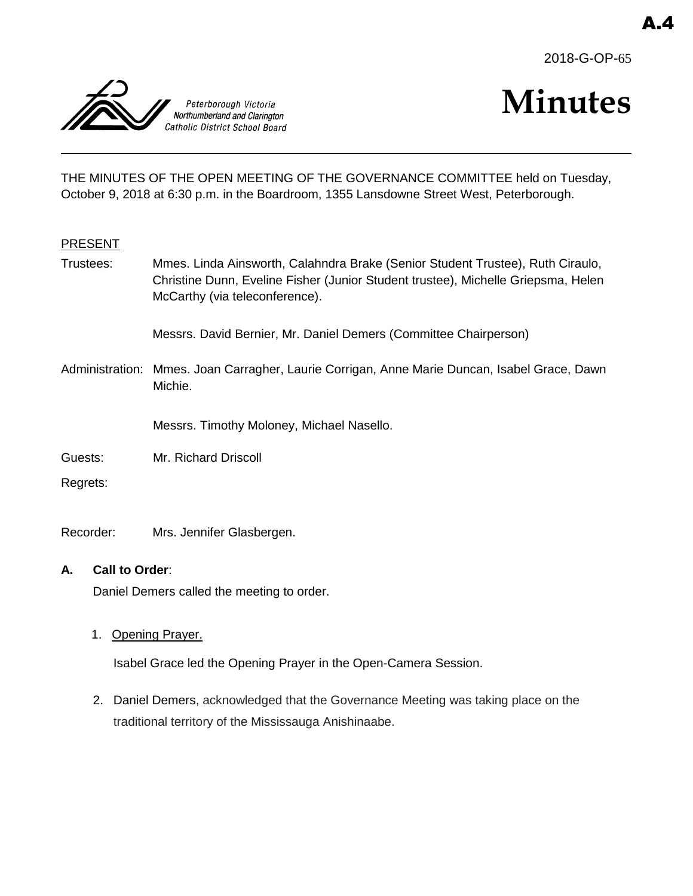



# **Minutes**

THE MINUTES OF THE OPEN MEETING OF THE GOVERNANCE COMMITTEE held on Tuesday, October 9, 2018 at 6:30 p.m. in the Boardroom, 1355 Lansdowne Street West, Peterborough.

# PRESENT

Trustees: Mmes. Linda Ainsworth, Calahndra Brake (Senior Student Trustee), Ruth Ciraulo, Christine Dunn, Eveline Fisher (Junior Student trustee), Michelle Griepsma, Helen McCarthy (via teleconference).

Messrs. David Bernier, Mr. Daniel Demers (Committee Chairperson)

Administration: Mmes. Joan Carragher, Laurie Corrigan, Anne Marie Duncan, Isabel Grace, Dawn Michie.

Messrs. Timothy Moloney, Michael Nasello.

- Guests: Mr. Richard Driscoll
- Regrets:

Recorder: Mrs. Jennifer Glasbergen.

# **A. Call to Order**:

Daniel Demers called the meeting to order.

1. Opening Prayer.

Isabel Grace led the Opening Prayer in the Open-Camera Session.

2. Daniel Demers, acknowledged that the Governance Meeting was taking place on the traditional territory of the Mississauga Anishinaabe.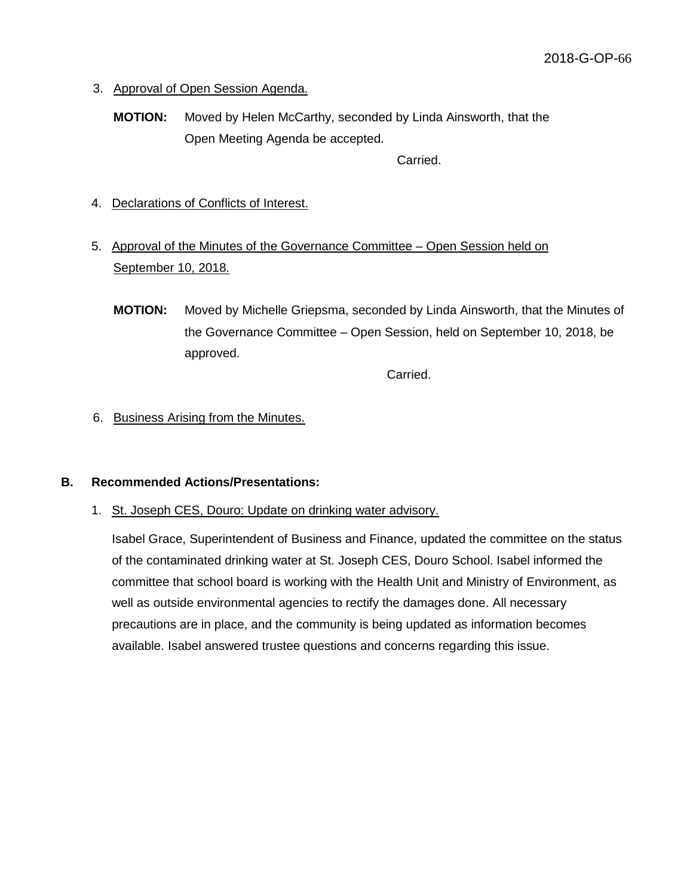- 3. Approval of Open Session Agenda.
	- **MOTION:** Moved by Helen McCarthy, seconded by Linda Ainsworth, that the Open Meeting Agenda be accepted.

Carried.

- 4. Declarations of Conflicts of Interest.
- 5. Approval of the Minutes of the Governance Committee Open Session held on September 10, 2018.
	- **MOTION:** Moved by Michelle Griepsma, seconded by Linda Ainsworth, that the Minutes of the Governance Committee – Open Session, held on September 10, 2018, be approved.

Carried.

6. Business Arising from the Minutes.

# **B. Recommended Actions/Presentations:**

1. St. Joseph CES, Douro: Update on drinking water advisory.

Isabel Grace, Superintendent of Business and Finance, updated the committee on the status of the contaminated drinking water at St. Joseph CES, Douro School. Isabel informed the committee that school board is working with the Health Unit and Ministry of Environment, as well as outside environmental agencies to rectify the damages done. All necessary precautions are in place, and the community is being updated as information becomes available. Isabel answered trustee questions and concerns regarding this issue.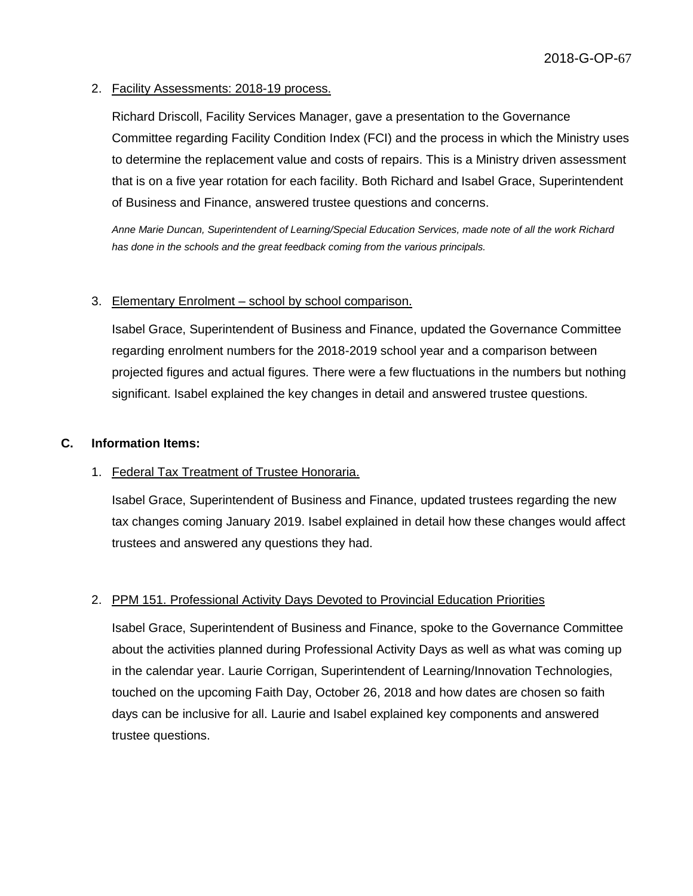#### 2. Facility Assessments: 2018-19 process.

Richard Driscoll, Facility Services Manager, gave a presentation to the Governance Committee regarding Facility Condition Index (FCI) and the process in which the Ministry uses to determine the replacement value and costs of repairs. This is a Ministry driven assessment that is on a five year rotation for each facility. Both Richard and Isabel Grace, Superintendent of Business and Finance, answered trustee questions and concerns.

*Anne Marie Duncan, Superintendent of Learning/Special Education Services, made note of all the work Richard has done in the schools and the great feedback coming from the various principals.*

#### 3. Elementary Enrolment – school by school comparison.

Isabel Grace, Superintendent of Business and Finance, updated the Governance Committee regarding enrolment numbers for the 2018-2019 school year and a comparison between projected figures and actual figures. There were a few fluctuations in the numbers but nothing significant. Isabel explained the key changes in detail and answered trustee questions.

#### **C. Information Items:**

# 1. Federal Tax Treatment of Trustee Honoraria.

Isabel Grace, Superintendent of Business and Finance, updated trustees regarding the new tax changes coming January 2019. Isabel explained in detail how these changes would affect trustees and answered any questions they had.

#### 2. PPM 151. Professional Activity Days Devoted to Provincial Education Priorities

Isabel Grace, Superintendent of Business and Finance, spoke to the Governance Committee about the activities planned during Professional Activity Days as well as what was coming up in the calendar year. Laurie Corrigan, Superintendent of Learning/Innovation Technologies, touched on the upcoming Faith Day, October 26, 2018 and how dates are chosen so faith days can be inclusive for all. Laurie and Isabel explained key components and answered trustee questions.